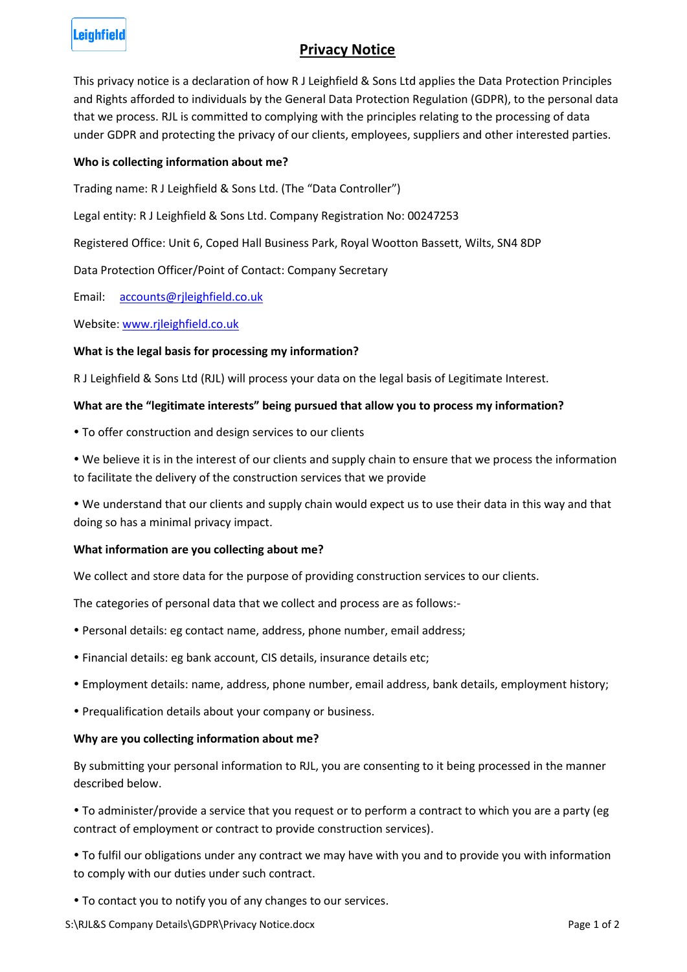# Leiahfiel

# **Privacy Notice**

This privacy notice is a declaration of how R J Leighfield & Sons Ltd applies the Data Protection Principles and Rights afforded to individuals by the General Data Protection Regulation (GDPR), to the personal data that we process. RJL is committed to complying with the principles relating to the processing of data under GDPR and protecting the privacy of our clients, employees, suppliers and other interested parties.

# **Who is collecting information about me?**

Trading name: R J Leighfield & Sons Ltd. (The "Data Controller")

Legal entity: R J Leighfield & Sons Ltd. Company Registration No: 00247253

Registered Office: Unit 6, Coped Hall Business Park, Royal Wootton Bassett, Wilts, SN4 8DP

Data Protection Officer/Point of Contact: Company Secretary

Email: [accounts@rjleighfield.co.uk](mailto:accounts@rjleighfield.co.uk)

Website: [www.rjleighfield.co.uk](http://www.rjleighfield.co.uk/)

# **What is the legal basis for processing my information?**

R J Leighfield & Sons Ltd (RJL) will process your data on the legal basis of Legitimate Interest.

#### **What are the "legitimate interests" being pursued that allow you to process my information?**

To offer construction and design services to our clients

 We believe it is in the interest of our clients and supply chain to ensure that we process the information to facilitate the delivery of the construction services that we provide

 We understand that our clients and supply chain would expect us to use their data in this way and that doing so has a minimal privacy impact.

# **What information are you collecting about me?**

We collect and store data for the purpose of providing construction services to our clients.

The categories of personal data that we collect and process are as follows:-

- Personal details: eg contact name, address, phone number, email address;
- Financial details: eg bank account, CIS details, insurance details etc;
- Employment details: name, address, phone number, email address, bank details, employment history;
- Prequalification details about your company or business.

#### **Why are you collecting information about me?**

By submitting your personal information to RJL, you are consenting to it being processed in the manner described below.

 To administer/provide a service that you request or to perform a contract to which you are a party (eg contract of employment or contract to provide construction services).

 To fulfil our obligations under any contract we may have with you and to provide you with information to comply with our duties under such contract.

To contact you to notify you of any changes to our services.